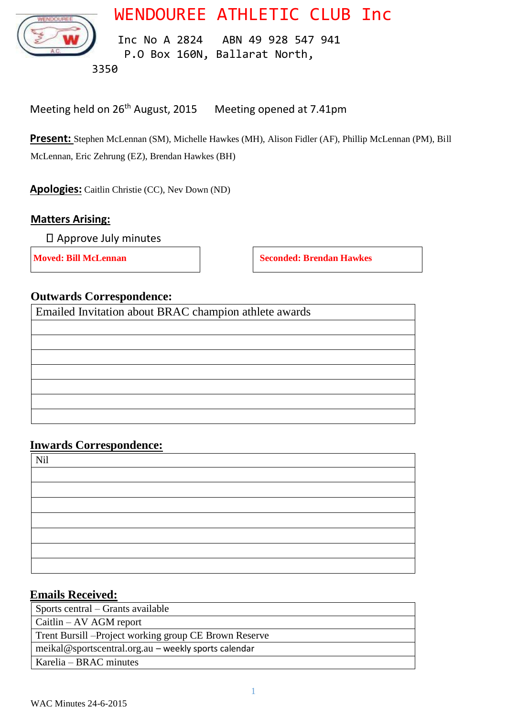WENDOUREE ATHLETIC CLUB Inc



 Inc No A 2824 ABN 49 928 547 941 P.O Box 160N, Ballarat North,

3350

Meeting held on 26<sup>th</sup> August, 2015 Meeting opened at 7.41pm

**Present:** Stephen McLennan (SM), Michelle Hawkes (MH), Alison Fidler (AF), Phillip McLennan (PM), Bill McLennan, Eric Zehrung (EZ), Brendan Hawkes (BH)

**Apologies:** Caitlin Christie (CC), Nev Down (ND)

### **Matters Arising:**

Approve July minutes

**Moved: Bill McLennan Seconded: Brendan Hawkes** 

### **Outwards Correspondence:**

Emailed Invitation about BRAC champion athlete awards

#### **Inwards Correspondence:**

| Nil |  |  |  |
|-----|--|--|--|
|     |  |  |  |
|     |  |  |  |
|     |  |  |  |
|     |  |  |  |
|     |  |  |  |
|     |  |  |  |
|     |  |  |  |

#### **Emails Received:**

| Sports central – Grants available                     |  |
|-------------------------------------------------------|--|
| $Caitlin - AV AGM$ report                             |  |
| Trent Bursill -Project working group CE Brown Reserve |  |
| meikal@sportscentral.org.au – weekly sports calendar  |  |
| Karelia – BRAC minutes                                |  |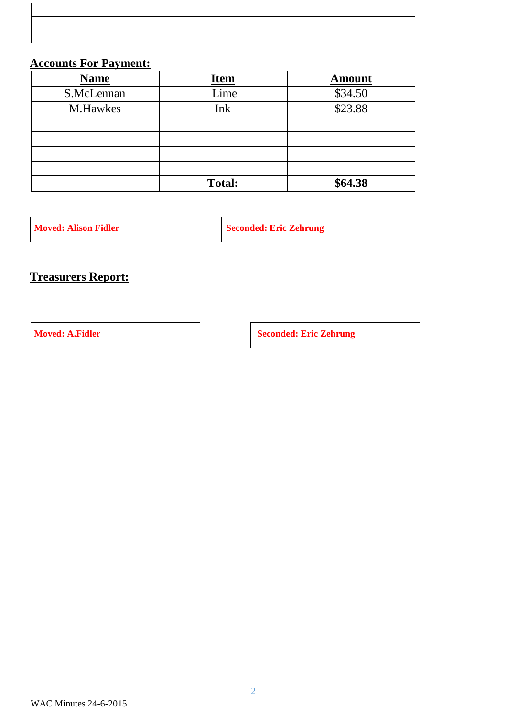|                                                                                  |  | ,我们也不能会在这里,我们也不能会在这里,我们也不能会在这里,我们也不能会不能会不能会不能会。""我们,我们也不能会不能会不能会不能会不能会不能会不能会不能会不 |
|----------------------------------------------------------------------------------|--|----------------------------------------------------------------------------------|
|                                                                                  |  |                                                                                  |
|                                                                                  |  |                                                                                  |
| ,我们也不能会在这里,我们也不能会在这里,我们也不能会在这里,我们也不能会不能会不能会不能会不能会不能会不能会。""我们,我们也不能会不能会不能会不能会不能会不 |  |                                                                                  |
|                                                                                  |  |                                                                                  |
| <u> 1989 - Andrea San Andrew Maria (h. 1989).</u>                                |  |                                                                                  |
|                                                                                  |  |                                                                                  |
|                                                                                  |  |                                                                                  |
| ,我们也不能会在这里,我们也不能会在这里,我们也不能会在这里,我们也不能会在这里,我们也不能会在这里,我们也不能会在这里,我们也不能会不能会不能会。""我们,我 |  |                                                                                  |
|                                                                                  |  |                                                                                  |
|                                                                                  |  |                                                                                  |

# **Accounts For Payment:**

| <b>Name</b> | <u>Item</u>   | <b>Amount</b> |
|-------------|---------------|---------------|
| S.McLennan  | Lime          | \$34.50       |
| M.Hawkes    | Ink           | \$23.88       |
|             |               |               |
|             |               |               |
|             |               |               |
|             |               |               |
|             | <b>Total:</b> | \$64.38       |

**Moved: Alison Fidler Seconded: Eric Zehrung Seconded: Eric Zehrung Seconded: Eric Zehrung Seconded: Eric Zehrung Seconded: Eric Zehrung Seconded: Eric Zehrung Seconded: Eric Zehrung Seconded: Eric Zehrung Seconded: Eric Z** 

## **Treasurers Report:**

**Moved: A.Fidler Seconded: Eric Zehrung**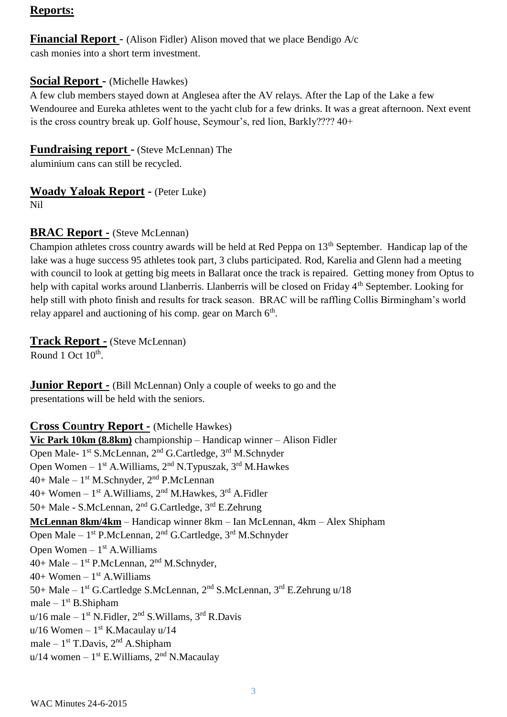#### **Reports:**

#### **Financial Report** - (Alison Fidler) Alison moved that we place Bendigo A/c cash monies into a short term investment.

#### **Social Report -** (Michelle Hawkes)

A few club members stayed down at Anglesea after the AV relays. After the Lap of the Lake a few Wendouree and Eureka athletes went to the yacht club for a few drinks. It was a great afternoon. Next event is the cross country break up. Golf house, Seymour's, red lion, Barkly???? 40+

#### **Fundraising report -** (Steve McLennan) The

aluminium cans can still be recycled.

### **Woady Yaloak Report -** (Peter Luke)

Nil

### **BRAC Report -** (Steve McLennan)

Champion athletes cross country awards will be held at Red Peppa on 13<sup>th</sup> September. Handicap lap of the lake was a huge success 95 athletes took part, 3 clubs participated. Rod, Karelia and Glenn had a meeting with council to look at getting big meets in Ballarat once the track is repaired. Getting money from Optus to help with capital works around Llanberris. Llanberris will be closed on Friday 4<sup>th</sup> September. Looking for help still with photo finish and results for track season. BRAC will be raffling Collis Birmingham's world relay apparel and auctioning of his comp. gear on March 6<sup>th</sup>.

#### **Track Report -** (Steve McLennan)

Round 1 Oct  $10^{\text{th}}$ .

**Junior Report -** (Bill McLennan) Only a couple of weeks to go and the presentations will be held with the seniors.

#### **Cross Co**u**ntry Report -** (Michelle Hawkes)

**Vic Park 10km (8.8km)** championship – Handicap winner – Alison Fidler Open Male- 1<sup>st</sup> S.McLennan, 2<sup>nd</sup> G.Cartledge, 3<sup>rd</sup> M.Schnyder Open Women  $-1^{st}$  A. Williams,  $2^{nd}$  N. Typuszak,  $3^{rd}$  M. Hawkes  $40+$  Male –  $1<sup>st</sup>$  M.Schnyder,  $2<sup>nd</sup>$  P.McLennan  $40+$  Women –  $1<sup>st</sup>$  A.Williams,  $2<sup>nd</sup>$  M.Hawkes,  $3<sup>rd</sup>$  A.Fidler 50+ Male - S.McLennan, 2nd G.Cartledge, 3rd E.Zehrung **McLennan 8km/4km** – Handicap winner 8km – Ian McLennan, 4km – Alex Shipham Open Male – 1<sup>st</sup> P.McLennan, 2<sup>nd</sup> G.Cartledge, 3<sup>rd</sup> M.Schnyder Open Women  $-1<sup>st</sup>$  A. Williams  $40+$  Male –  $1<sup>st</sup>$  P.McLennan,  $2<sup>nd</sup>$  M.Schnyder,  $40+$  Women  $-1$ <sup>st</sup> A. Williams 50+ Male – 1<sup>st</sup> G.Cartledge S.McLennan, 2<sup>nd</sup> S.McLennan, 3<sup>rd</sup> E.Zehrung u/18  $male - 1<sup>st</sup> B. Shipham$  $u/16$  male –  $1<sup>st</sup>$  N. Fidler,  $2<sup>nd</sup>$  S. Willams,  $3<sup>rd</sup>$  R. Davis  $u/16$  Women –  $1<sup>st</sup>$  K.Macaulay  $u/14$ male  $-1<sup>st</sup>$  T.Davis,  $2<sup>nd</sup>$  A.Shipham  $u/14$  women –  $1<sup>st</sup>$  E. Williams,  $2<sup>nd</sup>$  N. Macaulay